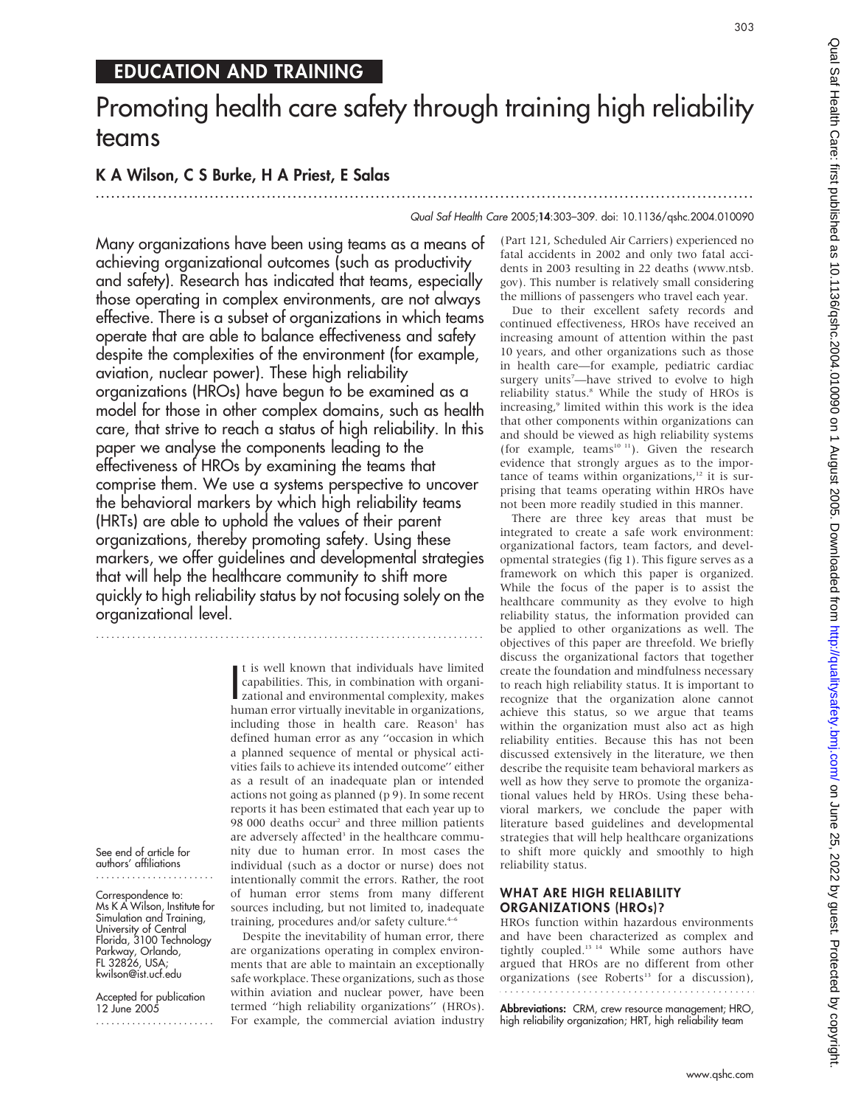# EDUCATION AND TRAINING

# Promoting health care safety through training high reliability teams

K A Wilson, C S Burke, H A Priest, E Salas ...............................................................................................................................

#### Qual Saf Health Care 2005;14:303–309. doi: 10.1136/qshc.2004.010090

Many organizations have been using teams as a means of achieving organizational outcomes (such as productivity and safety). Research has indicated that teams, especially those operating in complex environments, are not always effective. There is a subset of organizations in which teams operate that are able to balance effectiveness and safety despite the complexities of the environment (for example, aviation, nuclear power). These high reliability organizations (HROs) have begun to be examined as a model for those in other complex domains, such as health care, that strive to reach a status of high reliability. In this paper we analyse the components leading to the effectiveness of HROs by examining the teams that comprise them. We use a systems perspective to uncover the behavioral markers by which high reliability teams (HRTs) are able to uphold the values of their parent organizations, thereby promoting safety. Using these markers, we offer guidelines and developmental strategies that will help the healthcare community to shift more quickly to high reliability status by not focusing solely on the organizational level.

...........................................................................

It is well known that individuals have limited<br>capabilities. This, in combination with organizational and environmental complexity, makes t is well known that individuals have limited capabilities. This, in combination with organihuman error virtually inevitable in organizations, including those in health care. Reason<sup>1</sup> has defined human error as any ''occasion in which a planned sequence of mental or physical activities fails to achieve its intended outcome'' either as a result of an inadequate plan or intended actions not going as planned (p 9). In some recent reports it has been estimated that each year up to 98 000 deaths occur<sup>2</sup> and three million patients are adversely affected<sup>3</sup> in the healthcare community due to human error. In most cases the individual (such as a doctor or nurse) does not intentionally commit the errors. Rather, the root of human error stems from many different sources including, but not limited to, inadequate training, procedures and/or safety culture.<sup>4-</sup>

Despite the inevitability of human error, there are organizations operating in complex environments that are able to maintain an exceptionally safe workplace. These organizations, such as those within aviation and nuclear power, have been termed ''high reliability organizations'' (HROs). For example, the commercial aviation industry

(Part 121, Scheduled Air Carriers) experienced no fatal accidents in 2002 and only two fatal accidents in 2003 resulting in 22 deaths (www.ntsb. gov). This number is relatively small considering the millions of passengers who travel each year.

Due to their excellent safety records and continued effectiveness, HROs have received an increasing amount of attention within the past 10 years, and other organizations such as those in health care—for example, pediatric cardiac surgery units<sup>7</sup>—have strived to evolve to high reliability status.<sup>8</sup> While the study of HROs is increasing,<sup>9</sup> limited within this work is the idea that other components within organizations can and should be viewed as high reliability systems (for example, teams<sup>10 11</sup>). Given the research evidence that strongly argues as to the importance of teams within organizations, $12$  it is surprising that teams operating within HROs have not been more readily studied in this manner.

There are three key areas that must be integrated to create a safe work environment: organizational factors, team factors, and developmental strategies (fig 1). This figure serves as a framework on which this paper is organized. While the focus of the paper is to assist the healthcare community as they evolve to high reliability status, the information provided can be applied to other organizations as well. The objectives of this paper are threefold. We briefly discuss the organizational factors that together create the foundation and mindfulness necessary to reach high reliability status. It is important to recognize that the organization alone cannot achieve this status, so we argue that teams within the organization must also act as high reliability entities. Because this has not been discussed extensively in the literature, we then describe the requisite team behavioral markers as well as how they serve to promote the organizational values held by HROs. Using these behavioral markers, we conclude the paper with literature based guidelines and developmental strategies that will help healthcare organizations to shift more quickly and smoothly to high reliability status.

#### WHAT ARE HIGH RELIABILITY ORGANIZATIONS (HROs)?

HROs function within hazardous environments and have been characterized as complex and tightly coupled.13 14 While some authors have argued that HROs are no different from other organizations (see Roberts<sup>13</sup> for a discussion),

Abbreviations: CRM, crew resource management; HRO, high reliability organization; HRT, high reliability team

See end of article for authors' affiliations .......................

Correspondence to: Ms K A Wilson, Institute for Simulation and Training, University of Central Florida, 3100 Technology Parkway, Orlando, FL 32826, USA; kwilson@ist.ucf.edu

Accepted for publication 12 June 2005 .......................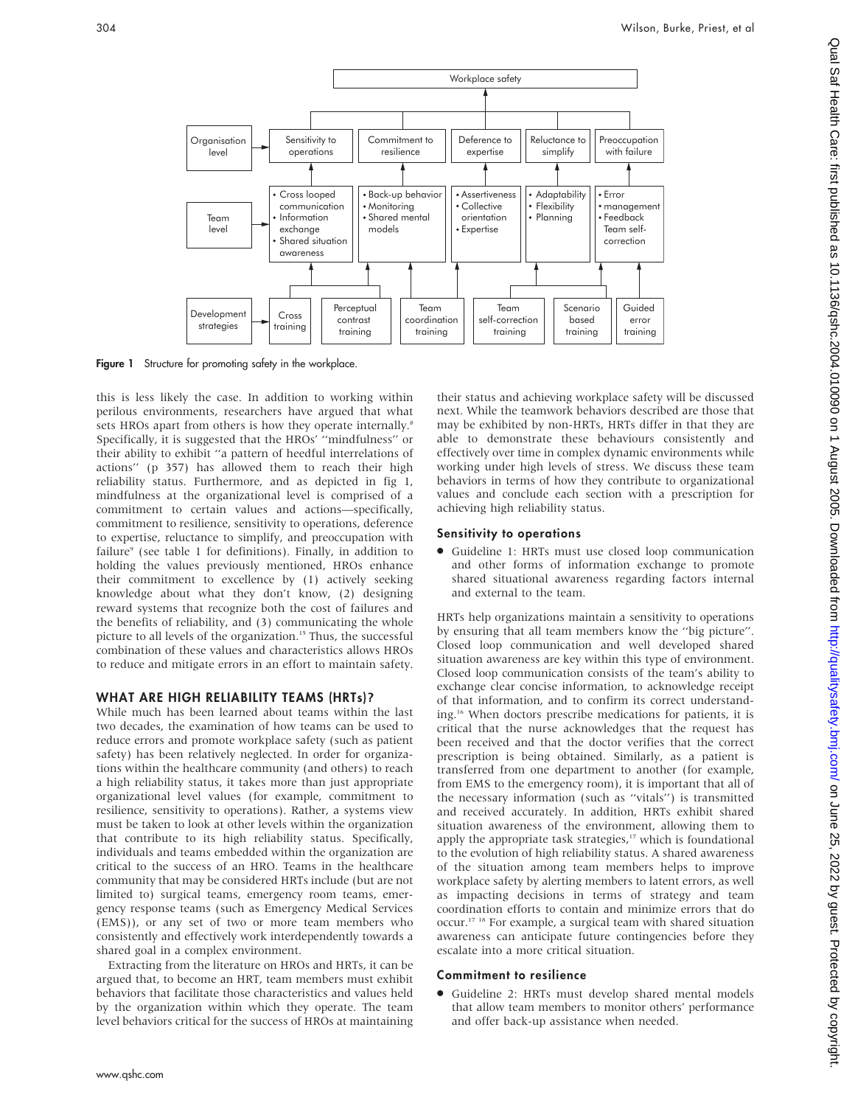

Figure 1 Structure for promoting safety in the workplace.

this is less likely the case. In addition to working within perilous environments, researchers have argued that what sets HROs apart from others is how they operate internally.<sup>8</sup> Specifically, it is suggested that the HROs' ''mindfulness'' or their ability to exhibit ''a pattern of heedful interrelations of actions'' (p 357) has allowed them to reach their high reliability status. Furthermore, and as depicted in fig 1, mindfulness at the organizational level is comprised of a commitment to certain values and actions—specifically, commitment to resilience, sensitivity to operations, deference to expertise, reluctance to simplify, and preoccupation with failure<sup>9</sup> (see table 1 for definitions). Finally, in addition to holding the values previously mentioned, HROs enhance their commitment to excellence by (1) actively seeking knowledge about what they don't know, (2) designing reward systems that recognize both the cost of failures and the benefits of reliability, and (3) communicating the whole picture to all levels of the organization.<sup>15</sup> Thus, the successful combination of these values and characteristics allows HROs to reduce and mitigate errors in an effort to maintain safety.

#### WHAT ARE HIGH RELIABILITY TEAMS (HRTs)?

While much has been learned about teams within the last two decades, the examination of how teams can be used to reduce errors and promote workplace safety (such as patient safety) has been relatively neglected. In order for organizations within the healthcare community (and others) to reach a high reliability status, it takes more than just appropriate organizational level values (for example, commitment to resilience, sensitivity to operations). Rather, a systems view must be taken to look at other levels within the organization that contribute to its high reliability status. Specifically, individuals and teams embedded within the organization are critical to the success of an HRO. Teams in the healthcare community that may be considered HRTs include (but are not limited to) surgical teams, emergency room teams, emergency response teams (such as Emergency Medical Services (EMS)), or any set of two or more team members who consistently and effectively work interdependently towards a shared goal in a complex environment.

Extracting from the literature on HROs and HRTs, it can be argued that, to become an HRT, team members must exhibit behaviors that facilitate those characteristics and values held by the organization within which they operate. The team level behaviors critical for the success of HROs at maintaining next. While the teamwork behaviors described are those that may be exhibited by non-HRTs, HRTs differ in that they are able to demonstrate these behaviours consistently and effectively over time in complex dynamic environments while working under high levels of stress. We discuss these team behaviors in terms of how they contribute to organizational values and conclude each section with a prescription for achieving high reliability status.

their status and achieving workplace safety will be discussed

#### Sensitivity to operations

N Guideline 1: HRTs must use closed loop communication and other forms of information exchange to promote shared situational awareness regarding factors internal and external to the team.

HRTs help organizations maintain a sensitivity to operations by ensuring that all team members know the ''big picture''. Closed loop communication and well developed shared situation awareness are key within this type of environment. Closed loop communication consists of the team's ability to exchange clear concise information, to acknowledge receipt of that information, and to confirm its correct understanding.16 When doctors prescribe medications for patients, it is critical that the nurse acknowledges that the request has been received and that the doctor verifies that the correct prescription is being obtained. Similarly, as a patient is transferred from one department to another (for example, from EMS to the emergency room), it is important that all of the necessary information (such as ''vitals'') is transmitted and received accurately. In addition, HRTs exhibit shared situation awareness of the environment, allowing them to apply the appropriate task strategies, $17$  which is foundational to the evolution of high reliability status. A shared awareness of the situation among team members helps to improve workplace safety by alerting members to latent errors, as well as impacting decisions in terms of strategy and team coordination efforts to contain and minimize errors that do occur.17 18 For example, a surgical team with shared situation awareness can anticipate future contingencies before they escalate into a more critical situation.

# Commitment to resilience

N Guideline 2: HRTs must develop shared mental models that allow team members to monitor others' performance and offer back-up assistance when needed.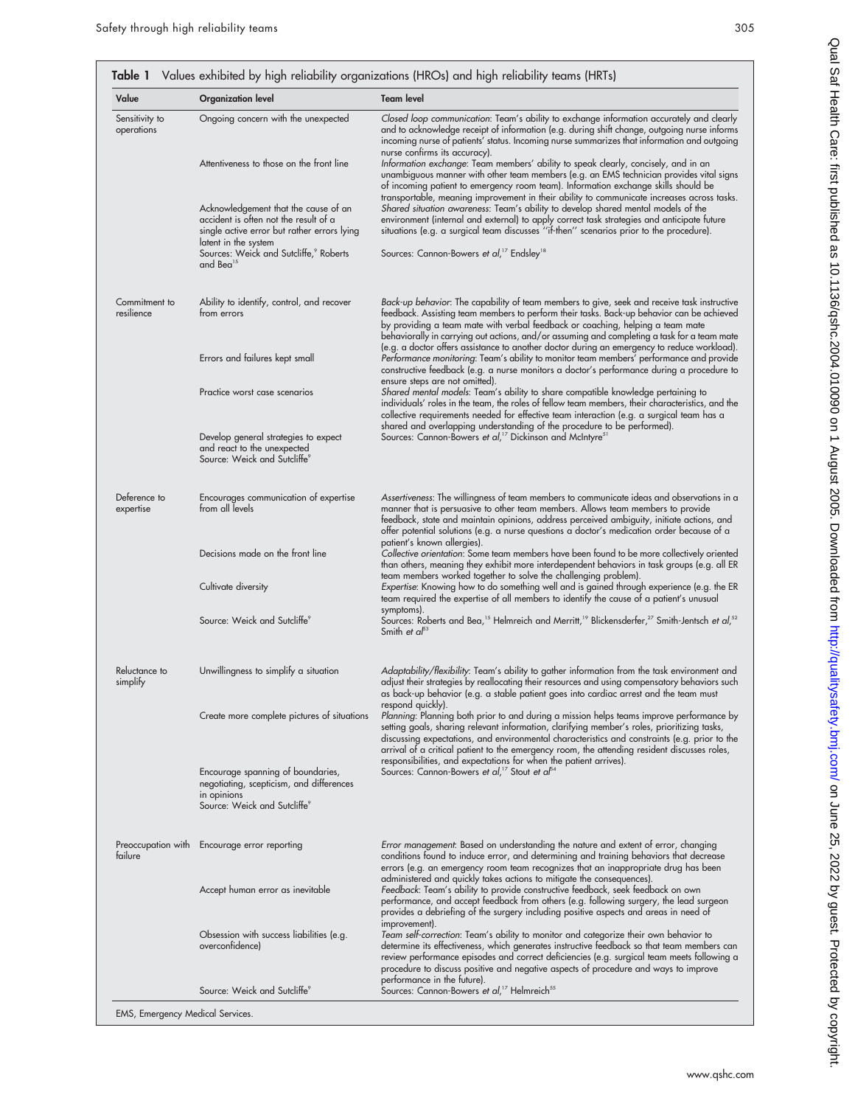| Value                        | <b>Organization level</b>                                                                                                                            | <b>Team level</b>                                                                                                                                                                                                                                                                                                                                                                                                                                                        |
|------------------------------|------------------------------------------------------------------------------------------------------------------------------------------------------|--------------------------------------------------------------------------------------------------------------------------------------------------------------------------------------------------------------------------------------------------------------------------------------------------------------------------------------------------------------------------------------------------------------------------------------------------------------------------|
| Sensitivity to<br>operations | Ongoing concern with the unexpected                                                                                                                  | Closed loop communication: Team's ability to exchange information accurately and clearly<br>and to acknowledge receipt of information (e.g. during shift change, outgoing nurse informs<br>incoming nurse of patients' status. Incoming nurse summarizes that information and outgoing<br>nurse confirms its accuracy).                                                                                                                                                  |
|                              | Attentiveness to those on the front line                                                                                                             | Information exchange: Team members' ability to speak clearly, concisely, and in an<br>unambiguous manner with other team members (e.g. an EMS technician provides vital signs<br>of incoming patient to emergency room team). Information exchange skills should be<br>transportable, meaning improvement in their ability to communicate increases across tasks.                                                                                                        |
|                              | Acknowledgement that the cause of an<br>accident is often not the result of a<br>single active error but rather errors lying<br>latent in the system | Shared situation awareness: Team's ability to develop shared mental models of the<br>environment (internal and external) to apply correct task strategies and anticipate future<br>situations (e.g. a surgical team discusses "if-then" scenarios prior to the procedure).                                                                                                                                                                                               |
|                              | Sources: Weick and Sutcliffe, <sup>9</sup> Roberts<br>and Bea <sup>15</sup>                                                                          | Sources: Cannon-Bowers et al, <sup>17</sup> Endsley <sup>18</sup>                                                                                                                                                                                                                                                                                                                                                                                                        |
| Commitment to<br>resilience  | Ability to identify, control, and recover<br>from errors                                                                                             | Back-up behavior: The capability of team members to give, seek and receive task instructive<br>feedback. Assisting team members to perform their tasks. Back-up behavior can be achieved<br>by providing a team mate with verbal feedback or coaching, helping a team mate<br>behaviorally in carrying out actions, and/or assuming and completing a task for a team mate<br>(e.g. a doctor offers assistance to another doctor during an emergency to reduce workload). |
|                              | Errors and failures kept small                                                                                                                       | Performance monitoring: Team's ability to monitor team members' performance and provide<br>constructive feedback (e.g. a nurse monitors a doctor's performance during a procedure to<br>ensure steps are not omitted).                                                                                                                                                                                                                                                   |
|                              | Practice worst case scenarios                                                                                                                        | Shared mental models: Team's ability to share compatible knowledge pertaining to<br>individuals' roles in the team, the roles of fellow team members, their characteristics, and the<br>collective requirements needed for effective team interaction (e.g. a surgical team has a<br>shared and overlapping understanding of the procedure to be performed).                                                                                                             |
|                              | Develop general strategies to expect<br>and react to the unexpected<br>Source: Weick and Sutcliffe <sup>9</sup>                                      | Sources: Cannon-Bowers et al, <sup>17</sup> Dickinson and McIntyre <sup>51</sup>                                                                                                                                                                                                                                                                                                                                                                                         |
| Deference to<br>expertise    | Encourages communication of expertise<br>from all levels                                                                                             | Assertiveness: The willingness of team members to communicate ideas and observations in a<br>manner that is persuasive to other team members. Allows team members to provide<br>feedback, state and maintain opinions, address perceived ambiguity, initiate actions, and<br>offer potential solutions (e.g. a nurse questions a doctor's medication order because of a                                                                                                  |
|                              | Decisions made on the front line                                                                                                                     | patient's known allergies).<br>Collective orientation: Some team members have been found to be more collectively oriented<br>than others, meaning they exhibit more interdependent behaviors in task groups (e.g. all ER<br>team members worked together to solve the challenging problem).                                                                                                                                                                              |
|                              | Cultivate diversity<br>Source: Weick and Sutcliffe <sup>9</sup>                                                                                      | Expertise: Knowing how to do something well and is gained through experience (e.g. the ER<br>team required the expertise of all members to identify the cause of a patient's unusual<br>symptoms).<br>Sources: Roberts and Bea, <sup>15</sup> Helmreich and Merritt, <sup>19</sup> Blickensderfer, <sup>27</sup> Smith-Jentsch et al, <sup>52</sup>                                                                                                                      |
|                              |                                                                                                                                                      | Smith et al <sup>63</sup>                                                                                                                                                                                                                                                                                                                                                                                                                                                |
| Reluctance to<br>simplify    | Unwillingness to simplify a situation                                                                                                                | Adaptability/flexibility: Team's ability to gather information from the task environment and<br>adjust their strategies by reallocating their resources and using compensatory behaviors such<br>as back-up behavior (e.g. a stable patient goes into cardiac arrest and the team must<br>respond quickly).                                                                                                                                                              |
|                              | Create more complete pictures of situations                                                                                                          | Planning: Planning both prior to and during a mission helps teams improve performance by<br>setting goals, sharing relevant information, clarifying member's roles, prioritizing tasks,<br>discussing expectations, and environmental characteristics and constraints (e.g. prior to the<br>arrival of a critical patient to the emergency room, the attending resident discusses roles,                                                                                 |
|                              | Encourage spanning of boundaries,<br>negotiating, scepticism, and differences<br>in opinions<br>Source: Weick and Sutcliffe <sup>9</sup>             | responsibilities, and expectations for when the patient arrives).<br>Sources: Cannon-Bowers et al, <sup>17</sup> Stout et al <sup>54</sup>                                                                                                                                                                                                                                                                                                                               |
|                              |                                                                                                                                                      |                                                                                                                                                                                                                                                                                                                                                                                                                                                                          |
| failure                      | Preoccupation with Encourage error reporting                                                                                                         | <i>Error management</i> : Based on understanding the nature and extent of error, changing<br>conditions found to induce error, and determining and training behaviors that decrease<br>errors (e.g. an emergency room team recognizes that an inappropriate drug has been                                                                                                                                                                                                |
|                              | Accept human error as inevitable                                                                                                                     | administered and quickly takes actions to mitigate the consequences).<br>Feedback: Team's ability to provide constructive feedback, seek feedback on own<br>performance, and accept feedback from others (e.g. following surgery, the lead surgeon<br>provides a debrieting of the surgery including positive aspects and areas in need of                                                                                                                               |
|                              | Obsession with success liabilities (e.g.<br>overconfidence)                                                                                          | improvement).<br>Team self-correction: Team's ability to monitor and categorize their own behavior to<br>determine its effectiveness, which generates instructive feedback so that team members can<br>review performance episodes and correct deficiencies (e.g. surgical team meets following a<br>procedure to discuss positive and negative aspects of procedure and ways to improve<br>performance in the future).                                                  |
|                              | Source: Weick and Sutcliffe <sup>9</sup>                                                                                                             | Sources: Cannon-Bowers et al, <sup>17</sup> Helmreich <sup>55</sup>                                                                                                                                                                                                                                                                                                                                                                                                      |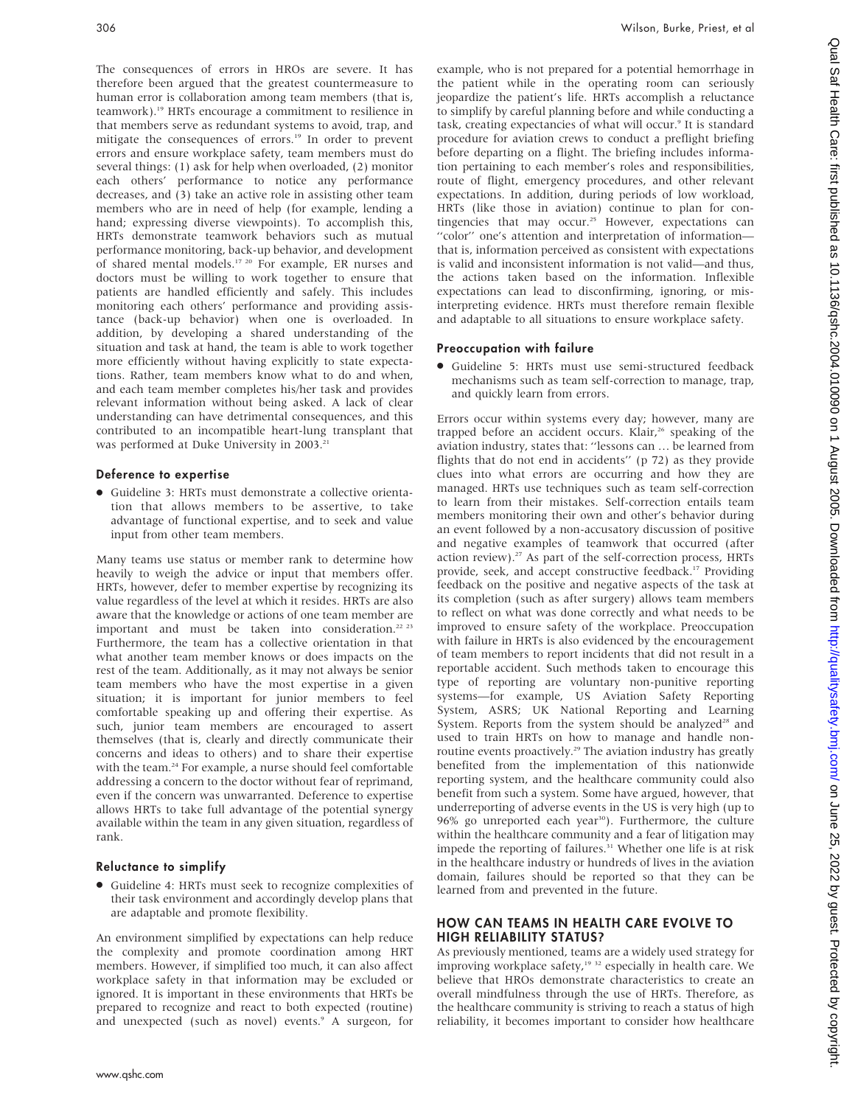The consequences of errors in HROs are severe. It has therefore been argued that the greatest countermeasure to human error is collaboration among team members (that is, teamwork).19 HRTs encourage a commitment to resilience in that members serve as redundant systems to avoid, trap, and mitigate the consequences of errors.<sup>19</sup> In order to prevent errors and ensure workplace safety, team members must do several things: (1) ask for help when overloaded, (2) monitor each others' performance to notice any performance decreases, and (3) take an active role in assisting other team members who are in need of help (for example, lending a hand; expressing diverse viewpoints). To accomplish this, HRTs demonstrate teamwork behaviors such as mutual performance monitoring, back-up behavior, and development of shared mental models.17 20 For example, ER nurses and doctors must be willing to work together to ensure that patients are handled efficiently and safely. This includes monitoring each others' performance and providing assistance (back-up behavior) when one is overloaded. In addition, by developing a shared understanding of the situation and task at hand, the team is able to work together more efficiently without having explicitly to state expectations. Rather, team members know what to do and when, and each team member completes his/her task and provides relevant information without being asked. A lack of clear understanding can have detrimental consequences, and this contributed to an incompatible heart-lung transplant that was performed at Duke University in 2003.<sup>21</sup>

#### Deference to expertise

N Guideline 3: HRTs must demonstrate a collective orientation that allows members to be assertive, to take advantage of functional expertise, and to seek and value input from other team members.

Many teams use status or member rank to determine how heavily to weigh the advice or input that members offer. HRTs, however, defer to member expertise by recognizing its value regardless of the level at which it resides. HRTs are also aware that the knowledge or actions of one team member are important and must be taken into consideration.<sup>22 23</sup> Furthermore, the team has a collective orientation in that what another team member knows or does impacts on the rest of the team. Additionally, as it may not always be senior team members who have the most expertise in a given situation; it is important for junior members to feel comfortable speaking up and offering their expertise. As such, junior team members are encouraged to assert themselves (that is, clearly and directly communicate their concerns and ideas to others) and to share their expertise with the team.<sup>24</sup> For example, a nurse should feel comfortable addressing a concern to the doctor without fear of reprimand, even if the concern was unwarranted. Deference to expertise allows HRTs to take full advantage of the potential synergy available within the team in any given situation, regardless of rank.

#### Reluctance to simplify

N Guideline 4: HRTs must seek to recognize complexities of their task environment and accordingly develop plans that are adaptable and promote flexibility.

An environment simplified by expectations can help reduce the complexity and promote coordination among HRT members. However, if simplified too much, it can also affect workplace safety in that information may be excluded or ignored. It is important in these environments that HRTs be prepared to recognize and react to both expected (routine) and unexpected (such as novel) events.<sup>9</sup> A surgeon, for

example, who is not prepared for a potential hemorrhage in the patient while in the operating room can seriously jeopardize the patient's life. HRTs accomplish a reluctance to simplify by careful planning before and while conducting a task, creating expectancies of what will occur.<sup>9</sup> It is standard procedure for aviation crews to conduct a preflight briefing before departing on a flight. The briefing includes information pertaining to each member's roles and responsibilities, route of flight, emergency procedures, and other relevant expectations. In addition, during periods of low workload, HRTs (like those in aviation) continue to plan for contingencies that may occur.<sup>25</sup> However, expectations can ''color'' one's attention and interpretation of information that is, information perceived as consistent with expectations is valid and inconsistent information is not valid—and thus, the actions taken based on the information. Inflexible expectations can lead to disconfirming, ignoring, or misinterpreting evidence. HRTs must therefore remain flexible and adaptable to all situations to ensure workplace safety.

#### Preoccupation with failure

N Guideline 5: HRTs must use semi-structured feedback mechanisms such as team self-correction to manage, trap, and quickly learn from errors.

Errors occur within systems every day; however, many are trapped before an accident occurs. Klair,<sup>26</sup> speaking of the aviation industry, states that: ''lessons can … be learned from flights that do not end in accidents'' (p 72) as they provide clues into what errors are occurring and how they are managed. HRTs use techniques such as team self-correction to learn from their mistakes. Self-correction entails team members monitoring their own and other's behavior during an event followed by a non-accusatory discussion of positive and negative examples of teamwork that occurred (after action review).27 As part of the self-correction process, HRTs provide, seek, and accept constructive feedback.<sup>17</sup> Providing feedback on the positive and negative aspects of the task at its completion (such as after surgery) allows team members to reflect on what was done correctly and what needs to be improved to ensure safety of the workplace. Preoccupation with failure in HRTs is also evidenced by the encouragement of team members to report incidents that did not result in a reportable accident. Such methods taken to encourage this type of reporting are voluntary non-punitive reporting systems—for example, US Aviation Safety Reporting System, ASRS; UK National Reporting and Learning System. Reports from the system should be analyzed<sup>28</sup> and used to train HRTs on how to manage and handle nonroutine events proactively.<sup>29</sup> The aviation industry has greatly benefited from the implementation of this nationwide reporting system, and the healthcare community could also benefit from such a system. Some have argued, however, that underreporting of adverse events in the US is very high (up to 96% go unreported each year<sup>30</sup>). Furthermore, the culture within the healthcare community and a fear of litigation may impede the reporting of failures.<sup>31</sup> Whether one life is at risk in the healthcare industry or hundreds of lives in the aviation domain, failures should be reported so that they can be learned from and prevented in the future.

#### HOW CAN TEAMS IN HEALTH CARE EVOLVE TO HIGH RELIABILITY STATUS?

As previously mentioned, teams are a widely used strategy for improving workplace safety,<sup>19 32</sup> especially in health care. We believe that HROs demonstrate characteristics to create an overall mindfulness through the use of HRTs. Therefore, as the healthcare community is striving to reach a status of high reliability, it becomes important to consider how healthcare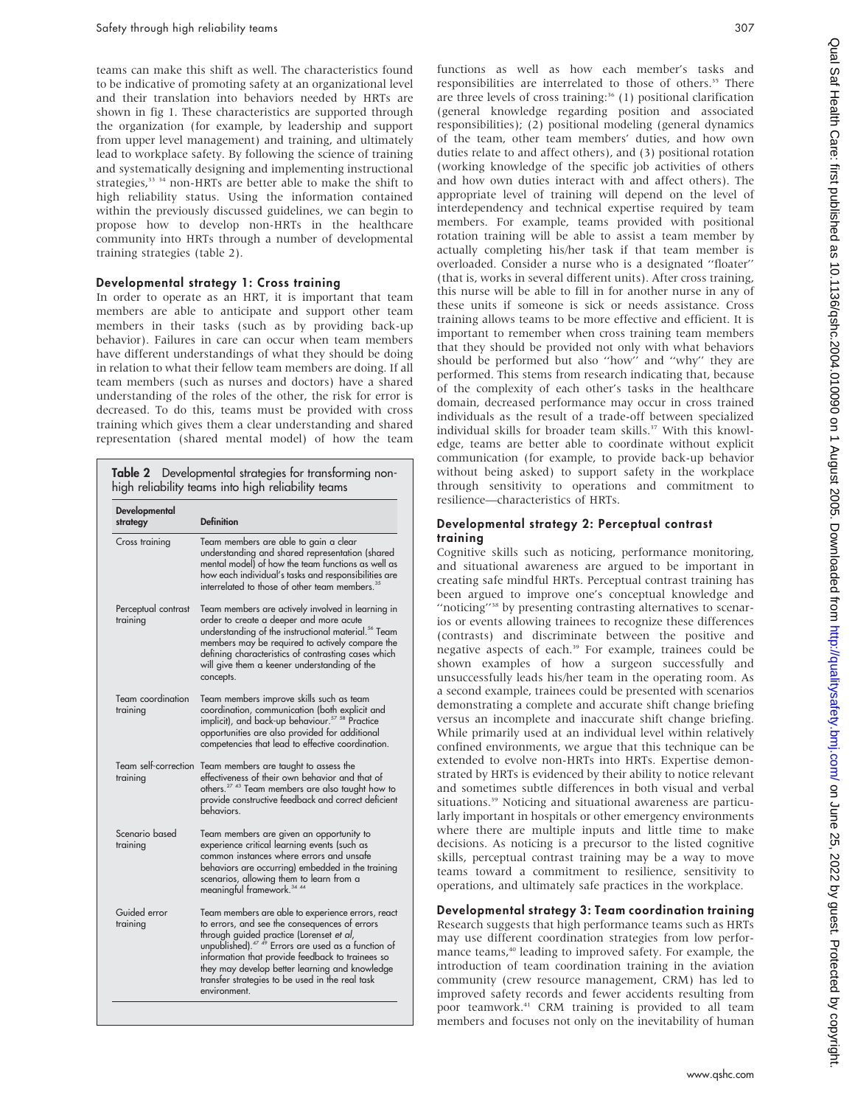teams can make this shift as well. The characteristics found to be indicative of promoting safety at an organizational level and their translation into behaviors needed by HRTs are shown in fig 1. These characteristics are supported through the organization (for example, by leadership and support from upper level management) and training, and ultimately lead to workplace safety. By following the science of training and systematically designing and implementing instructional strategies,<sup>33</sup> 34 non-HRTs are better able to make the shift to high reliability status. Using the information contained within the previously discussed guidelines, we can begin to propose how to develop non-HRTs in the healthcare community into HRTs through a number of developmental training strategies (table 2).

#### Developmental strategy 1: Cross training

In order to operate as an HRT, it is important that team members are able to anticipate and support other team members in their tasks (such as by providing back-up behavior). Failures in care can occur when team members have different understandings of what they should be doing in relation to what their fellow team members are doing. If all team members (such as nurses and doctors) have a shared understanding of the roles of the other, the risk for error is decreased. To do this, teams must be provided with cross training which gives them a clear understanding and shared representation (shared mental model) of how the team

| <b>Developmental</b><br>strategy | <b>Definition</b>                                                                                                                                                                                                                                                                                                                                                                                            |
|----------------------------------|--------------------------------------------------------------------------------------------------------------------------------------------------------------------------------------------------------------------------------------------------------------------------------------------------------------------------------------------------------------------------------------------------------------|
| Cross training                   | Team members are able to gain a clear<br>understanding and shared representation (shared<br>mental model) of how the team functions as well as<br>how each individual's tasks and responsibilities are<br>interrelated to those of other team members. <sup>35</sup>                                                                                                                                         |
| Perceptual contrast<br>training  | Team members are actively involved in learning in<br>order to create a deeper and more acute<br>understanding of the instructional material. <sup>56</sup> Team<br>members may be required to actively compare the<br>defining characteristics of contrasting cases which<br>will give them a keener understanding of the<br>concepts.                                                                       |
| Team coordination<br>training    | Team members improve skills such as team<br>coordination, communication (both explicit and<br>implicit), and back-up behaviour. <sup>57</sup> 58 Practice<br>opportunities are also provided for additional<br>competencies that lead to effective coordination.                                                                                                                                             |
| training                         | Team self-correction Team members are taught to assess the<br>effectiveness of their own behavior and that of<br>others. <sup>27</sup> <sup>43</sup> Team members are also taught how to<br>provide constructive feedback and correct deficient<br>hehaviors                                                                                                                                                 |
| Scenario based<br>training       | Team members are given an opportunity to<br>experience critical learning events (such as<br>common instances where errors and unsafe<br>behaviors are occurring) embedded in the training<br>scenarios, allowing them to learn from a<br>meaningful framework. <sup>34 44</sup>                                                                                                                              |
| Guided error<br>training         | Team members are able to experience errors, react<br>to errors, and see the consequences of errors<br>through guided practice (Lorenset <i>et al,</i><br>unpublished). <sup>47</sup> <sup>49</sup> Errors are used as a function of<br>information that provide feedback to trainees so<br>they may develop better learning and knowledge<br>transfer strategies to be used in the real task<br>environment. |

functions as well as how each member's tasks and responsibilities are interrelated to those of others.<sup>35</sup> There are three levels of cross training:<sup>36</sup> (1) positional clarification (general knowledge regarding position and associated responsibilities); (2) positional modeling (general dynamics of the team, other team members' duties, and how own duties relate to and affect others), and (3) positional rotation (working knowledge of the specific job activities of others and how own duties interact with and affect others). The appropriate level of training will depend on the level of interdependency and technical expertise required by team members. For example, teams provided with positional rotation training will be able to assist a team member by actually completing his/her task if that team member is overloaded. Consider a nurse who is a designated ''floater'' (that is, works in several different units). After cross training, this nurse will be able to fill in for another nurse in any of these units if someone is sick or needs assistance. Cross training allows teams to be more effective and efficient. It is important to remember when cross training team members that they should be provided not only with what behaviors should be performed but also ''how'' and ''why'' they are performed. This stems from research indicating that, because of the complexity of each other's tasks in the healthcare domain, decreased performance may occur in cross trained individuals as the result of a trade-off between specialized individual skills for broader team skills.<sup>37</sup> With this knowledge, teams are better able to coordinate without explicit communication (for example, to provide back-up behavior without being asked) to support safety in the workplace through sensitivity to operations and commitment to resilience—characteristics of HRTs.

#### Developmental strategy 2: Perceptual contrast training

Cognitive skills such as noticing, performance monitoring, and situational awareness are argued to be important in creating safe mindful HRTs. Perceptual contrast training has been argued to improve one's conceptual knowledge and "noticing"<sup>38</sup> by presenting contrasting alternatives to scenarios or events allowing trainees to recognize these differences (contrasts) and discriminate between the positive and negative aspects of each.<sup>39</sup> For example, trainees could be shown examples of how a surgeon successfully and unsuccessfully leads his/her team in the operating room. As a second example, trainees could be presented with scenarios demonstrating a complete and accurate shift change briefing versus an incomplete and inaccurate shift change briefing. While primarily used at an individual level within relatively confined environments, we argue that this technique can be extended to evolve non-HRTs into HRTs. Expertise demonstrated by HRTs is evidenced by their ability to notice relevant and sometimes subtle differences in both visual and verbal situations.<sup>39</sup> Noticing and situational awareness are particularly important in hospitals or other emergency environments where there are multiple inputs and little time to make decisions. As noticing is a precursor to the listed cognitive skills, perceptual contrast training may be a way to move teams toward a commitment to resilience, sensitivity to operations, and ultimately safe practices in the workplace.

#### Developmental strategy 3: Team coordination training

Research suggests that high performance teams such as HRTs may use different coordination strategies from low performance teams,<sup>40</sup> leading to improved safety. For example, the introduction of team coordination training in the aviation community (crew resource management, CRM) has led to improved safety records and fewer accidents resulting from poor teamwork.41 CRM training is provided to all team members and focuses not only on the inevitability of human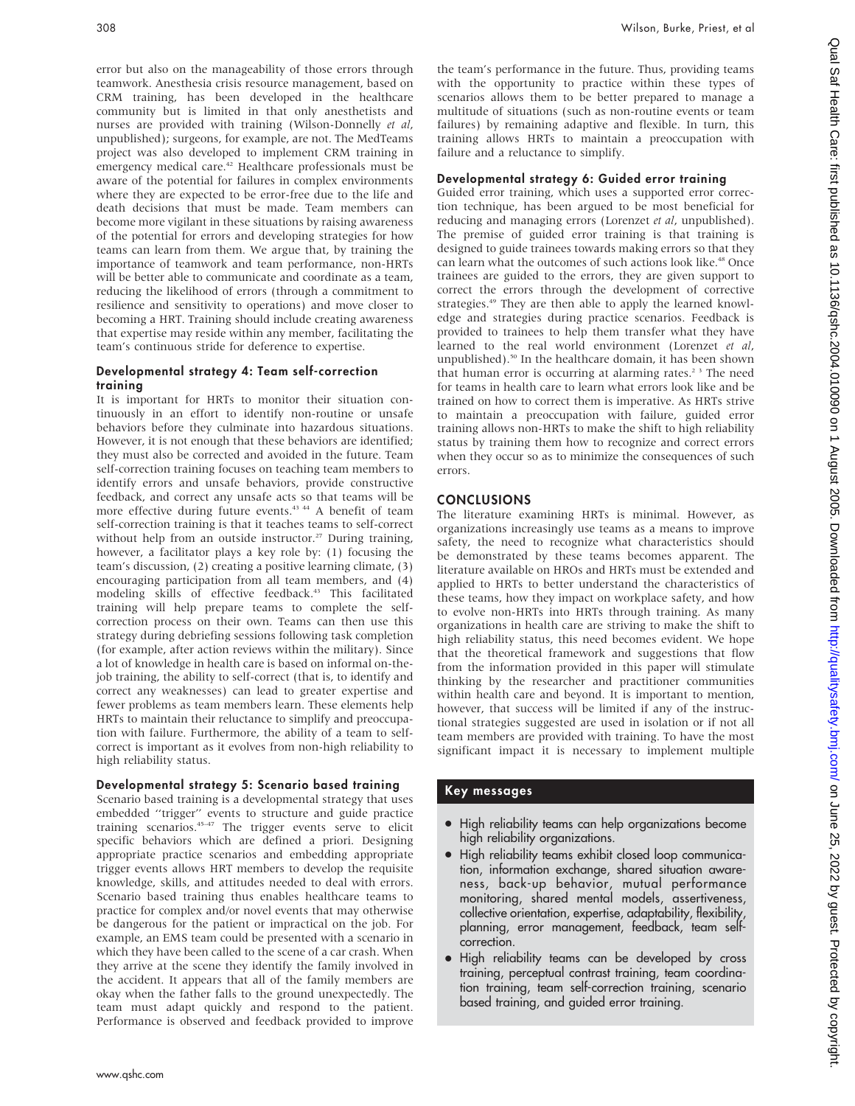error but also on the manageability of those errors through teamwork. Anesthesia crisis resource management, based on CRM training, has been developed in the healthcare community but is limited in that only anesthetists and nurses are provided with training (Wilson-Donnelly et al, unpublished); surgeons, for example, are not. The MedTeams project was also developed to implement CRM training in emergency medical care.<sup>42</sup> Healthcare professionals must be aware of the potential for failures in complex environments where they are expected to be error-free due to the life and death decisions that must be made. Team members can become more vigilant in these situations by raising awareness of the potential for errors and developing strategies for how teams can learn from them. We argue that, by training the importance of teamwork and team performance, non-HRTs will be better able to communicate and coordinate as a team, reducing the likelihood of errors (through a commitment to resilience and sensitivity to operations) and move closer to becoming a HRT. Training should include creating awareness that expertise may reside within any member, facilitating the team's continuous stride for deference to expertise.

#### Developmental strategy 4: Team self-correction training

It is important for HRTs to monitor their situation continuously in an effort to identify non-routine or unsafe behaviors before they culminate into hazardous situations. However, it is not enough that these behaviors are identified; they must also be corrected and avoided in the future. Team self-correction training focuses on teaching team members to identify errors and unsafe behaviors, provide constructive feedback, and correct any unsafe acts so that teams will be more effective during future events.<sup>43 44</sup> A benefit of team self-correction training is that it teaches teams to self-correct without help from an outside instructor.<sup>27</sup> During training, however, a facilitator plays a key role by: (1) focusing the team's discussion, (2) creating a positive learning climate, (3) encouraging participation from all team members, and (4) modeling skills of effective feedback.<sup>43</sup> This facilitated training will help prepare teams to complete the selfcorrection process on their own. Teams can then use this strategy during debriefing sessions following task completion (for example, after action reviews within the military). Since a lot of knowledge in health care is based on informal on-thejob training, the ability to self-correct (that is, to identify and correct any weaknesses) can lead to greater expertise and fewer problems as team members learn. These elements help HRTs to maintain their reluctance to simplify and preoccupation with failure. Furthermore, the ability of a team to selfcorrect is important as it evolves from non-high reliability to high reliability status.

#### Developmental strategy 5: Scenario based training

Scenario based training is a developmental strategy that uses embedded ''trigger'' events to structure and guide practice training scenarios.45–47 The trigger events serve to elicit specific behaviors which are defined a priori. Designing appropriate practice scenarios and embedding appropriate trigger events allows HRT members to develop the requisite knowledge, skills, and attitudes needed to deal with errors. Scenario based training thus enables healthcare teams to practice for complex and/or novel events that may otherwise be dangerous for the patient or impractical on the job. For example, an EMS team could be presented with a scenario in which they have been called to the scene of a car crash. When they arrive at the scene they identify the family involved in the accident. It appears that all of the family members are okay when the father falls to the ground unexpectedly. The team must adapt quickly and respond to the patient. Performance is observed and feedback provided to improve the team's performance in the future. Thus, providing teams with the opportunity to practice within these types of scenarios allows them to be better prepared to manage a multitude of situations (such as non-routine events or team failures) by remaining adaptive and flexible. In turn, this training allows HRTs to maintain a preoccupation with failure and a reluctance to simplify.

# Developmental strategy 6: Guided error training

Guided error training, which uses a supported error correction technique, has been argued to be most beneficial for reducing and managing errors (Lorenzet et al, unpublished). The premise of guided error training is that training is designed to guide trainees towards making errors so that they can learn what the outcomes of such actions look like.<sup>48</sup> Once trainees are guided to the errors, they are given support to correct the errors through the development of corrective strategies.<sup>49</sup> They are then able to apply the learned knowledge and strategies during practice scenarios. Feedback is provided to trainees to help them transfer what they have learned to the real world environment (Lorenzet et al, unpublished).50 In the healthcare domain, it has been shown that human error is occurring at alarming rates.<sup>23</sup> The need for teams in health care to learn what errors look like and be trained on how to correct them is imperative. As HRTs strive to maintain a preoccupation with failure, guided error training allows non-HRTs to make the shift to high reliability status by training them how to recognize and correct errors when they occur so as to minimize the consequences of such errors.

### CONCLUSIONS

The literature examining HRTs is minimal. However, as organizations increasingly use teams as a means to improve safety, the need to recognize what characteristics should be demonstrated by these teams becomes apparent. The literature available on HROs and HRTs must be extended and applied to HRTs to better understand the characteristics of these teams, how they impact on workplace safety, and how to evolve non-HRTs into HRTs through training. As many organizations in health care are striving to make the shift to high reliability status, this need becomes evident. We hope that the theoretical framework and suggestions that flow from the information provided in this paper will stimulate thinking by the researcher and practitioner communities within health care and beyond. It is important to mention, however, that success will be limited if any of the instructional strategies suggested are used in isolation or if not all team members are provided with training. To have the most significant impact it is necessary to implement multiple

# Key messages

- High reliability teams can help organizations become high reliability organizations.
- High reliability teams exhibit closed loop communication, information exchange, shared situation awareness, back-up behavior, mutual performance monitoring, shared mental models, assertiveness, collective orientation, expertise, adaptability, flexibility, planning, error management, feedback, team selfcorrection.
- High reliability teams can be developed by cross training, perceptual contrast training, team coordination training, team self-correction training, scenario based training, and guided error training.